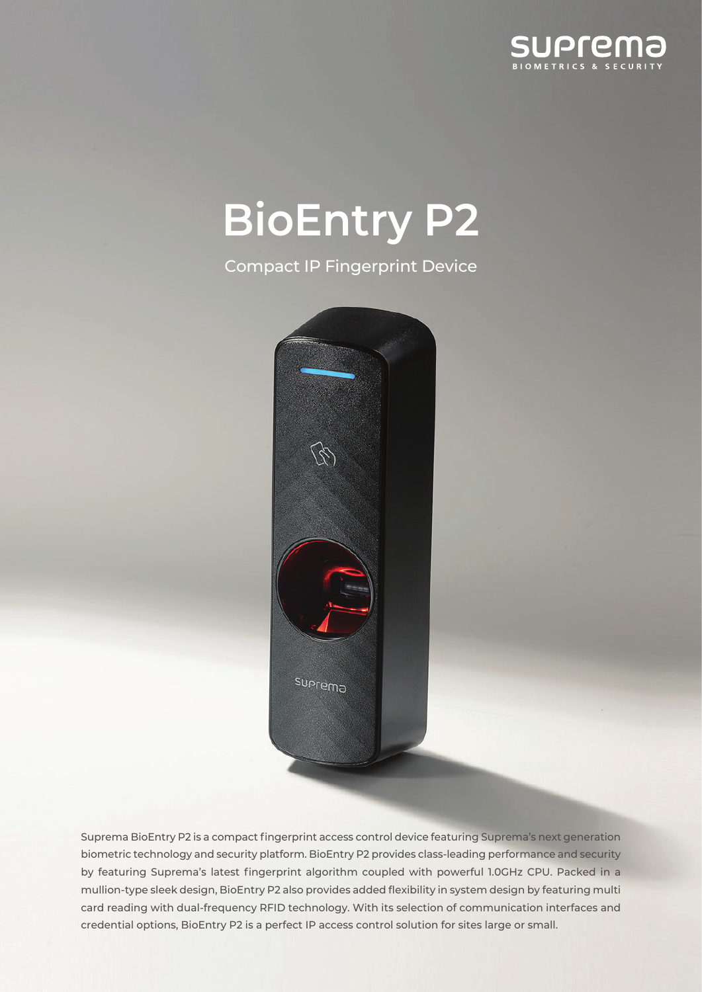

# **BioEntry P2**

**Compact IP Fingerprint Device** 



Suprema BioEntry P2 is a compact fingerprint access control device featuring Suprema's next generation biometric technology and security platform. BioEntry P2 provides class-leading performance and security by featuring Suprema's latest fingerprint algorithm coupled with powerful 1.0GHz CPU. Packed in a mullion-type sleek design, BioEntry P2 also provides added flexibility in system design by featuring multi card reading with dual-frequency RFID technology. With its selection of communication interfaces and credential options, BioEntry P2 is a perfect IP access control solution for sites large or small.